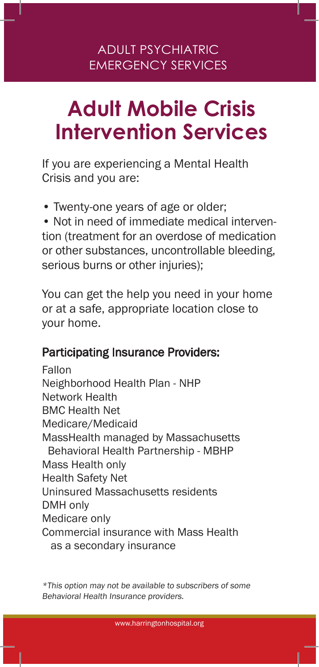## ADULT PSYCHIATRIC EMERGENCY SERVICES

# **Adult Mobile Crisis Intervention Services**

If you are experiencing a Mental Health Crisis and you are:

• Twenty-one years of age or older;

• Not in need of immediate medical intervention (treatment for an overdose of medication or other substances, uncontrollable bleeding, serious burns or other injuries);

You can get the help you need in your home or at a safe, appropriate location close to your home.

#### Participating Insurance Providers:

Fallon Neighborhood Health Plan - NHP Network Health BMC Health Net Medicare/Medicaid MassHealth managed by Massachusetts Behavioral Health Partnership - MBHP Mass Health only Health Safety Net Uninsured Massachusetts residents DMH only Medicare only Commercial insurance with Mass Health as a secondary insurance

\*This option may not be available to subscribers of some Behavioral Health Insurance providers.